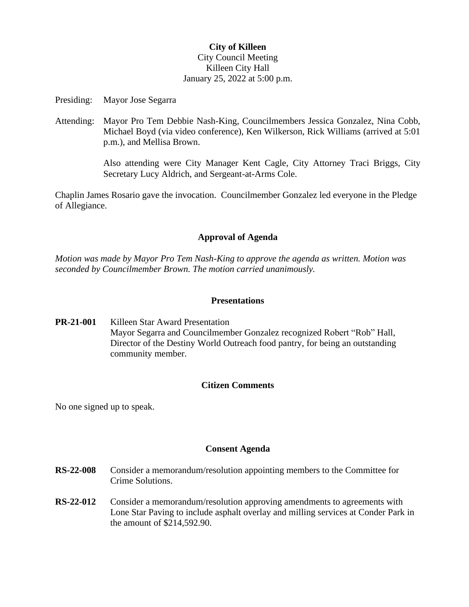## **City of Killeen** City Council Meeting Killeen City Hall January 25, 2022 at 5:00 p.m.

Presiding: Mayor Jose Segarra

Attending: Mayor Pro Tem Debbie Nash-King, Councilmembers Jessica Gonzalez, Nina Cobb, Michael Boyd (via video conference), Ken Wilkerson, Rick Williams (arrived at 5:01 p.m.), and Mellisa Brown.

> Also attending were City Manager Kent Cagle, City Attorney Traci Briggs, City Secretary Lucy Aldrich, and Sergeant-at-Arms Cole.

Chaplin James Rosario gave the invocation. Councilmember Gonzalez led everyone in the Pledge of Allegiance.

# **Approval of Agenda**

*Motion was made by Mayor Pro Tem Nash-King to approve the agenda as written. Motion was seconded by Councilmember Brown. The motion carried unanimously.*

### **Presentations**

**PR-21-001** Killeen Star Award Presentation Mayor Segarra and Councilmember Gonzalez recognized Robert "Rob" Hall, Director of the Destiny World Outreach food pantry, for being an outstanding community member.

# **Citizen Comments**

No one signed up to speak.

### **Consent Agenda**

- **RS-22-008** Consider a memorandum/resolution appointing members to the Committee for Crime Solutions.
- **RS-22-012** Consider a memorandum/resolution approving amendments to agreements with Lone Star Paving to include asphalt overlay and milling services at Conder Park in the amount of \$214,592.90.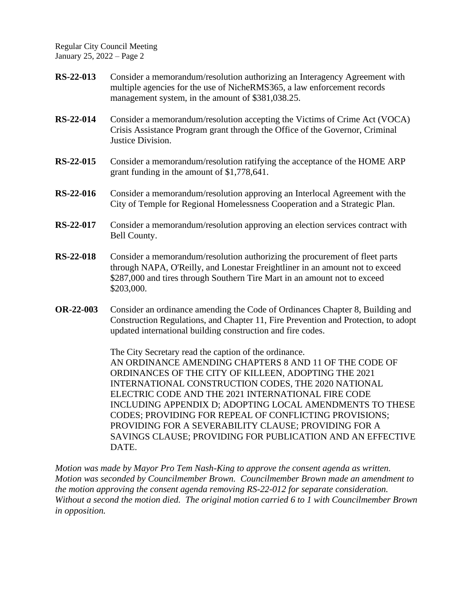- **RS-22-013** Consider a memorandum/resolution authorizing an Interagency Agreement with multiple agencies for the use of NicheRMS365, a law enforcement records management system, in the amount of \$381,038.25.
- **RS-22-014** Consider a memorandum/resolution accepting the Victims of Crime Act (VOCA) Crisis Assistance Program grant through the Office of the Governor, Criminal Justice Division.
- **RS-22-015** Consider a memorandum/resolution ratifying the acceptance of the HOME ARP grant funding in the amount of \$1,778,641.
- **RS-22-016** Consider a memorandum/resolution approving an Interlocal Agreement with the City of Temple for Regional Homelessness Cooperation and a Strategic Plan.
- **RS-22-017** Consider a memorandum/resolution approving an election services contract with Bell County.
- **RS-22-018** Consider a memorandum/resolution authorizing the procurement of fleet parts through NAPA, O'Reilly, and Lonestar Freightliner in an amount not to exceed \$287,000 and tires through Southern Tire Mart in an amount not to exceed \$203,000.
- **OR-22-003** Consider an ordinance amending the Code of Ordinances Chapter 8, Building and Construction Regulations, and Chapter 11, Fire Prevention and Protection, to adopt updated international building construction and fire codes.

The City Secretary read the caption of the ordinance. AN ORDINANCE AMENDING CHAPTERS 8 AND 11 OF THE CODE OF ORDINANCES OF THE CITY OF KILLEEN, ADOPTING THE 2021 INTERNATIONAL CONSTRUCTION CODES, THE 2020 NATIONAL ELECTRIC CODE AND THE 2021 INTERNATIONAL FIRE CODE INCLUDING APPENDIX D; ADOPTING LOCAL AMENDMENTS TO THESE CODES; PROVIDING FOR REPEAL OF CONFLICTING PROVISIONS; PROVIDING FOR A SEVERABILITY CLAUSE; PROVIDING FOR A SAVINGS CLAUSE; PROVIDING FOR PUBLICATION AND AN EFFECTIVE DATE.

*Motion was made by Mayor Pro Tem Nash-King to approve the consent agenda as written. Motion was seconded by Councilmember Brown. Councilmember Brown made an amendment to the motion approving the consent agenda removing RS-22-012 for separate consideration. Without a second the motion died. The original motion carried 6 to 1 with Councilmember Brown in opposition.*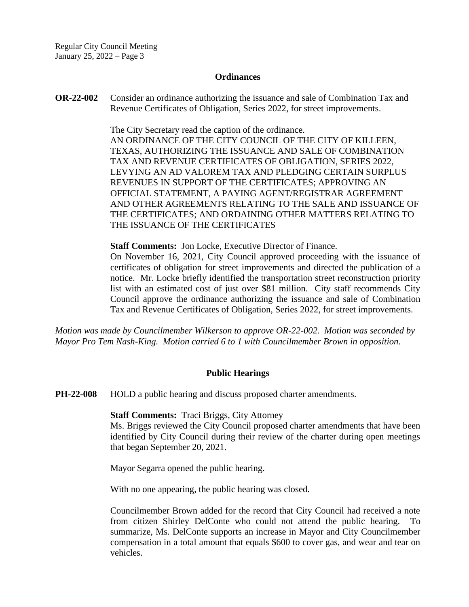#### **Ordinances**

**OR-22-002** Consider an ordinance authorizing the issuance and sale of Combination Tax and Revenue Certificates of Obligation, Series 2022, for street improvements.

> The City Secretary read the caption of the ordinance. AN ORDINANCE OF THE CITY COUNCIL OF THE CITY OF KILLEEN, TEXAS, AUTHORIZING THE ISSUANCE AND SALE OF COMBINATION TAX AND REVENUE CERTIFICATES OF OBLIGATION, SERIES 2022, LEVYING AN AD VALOREM TAX AND PLEDGING CERTAIN SURPLUS REVENUES IN SUPPORT OF THE CERTIFICATES; APPROVING AN OFFICIAL STATEMENT, A PAYING AGENT/REGISTRAR AGREEMENT AND OTHER AGREEMENTS RELATING TO THE SALE AND ISSUANCE OF THE CERTIFICATES; AND ORDAINING OTHER MATTERS RELATING TO THE ISSUANCE OF THE CERTIFICATES

**Staff Comments:** Jon Locke, Executive Director of Finance.

On November 16, 2021, City Council approved proceeding with the issuance of certificates of obligation for street improvements and directed the publication of a notice. Mr. Locke briefly identified the transportation street reconstruction priority list with an estimated cost of just over \$81 million. City staff recommends City Council approve the ordinance authorizing the issuance and sale of Combination Tax and Revenue Certificates of Obligation, Series 2022, for street improvements.

*Motion was made by Councilmember Wilkerson to approve OR-22-002. Motion was seconded by Mayor Pro Tem Nash-King. Motion carried 6 to 1 with Councilmember Brown in opposition.*

#### **Public Hearings**

**PH-22-008** HOLD a public hearing and discuss proposed charter amendments.

**Staff Comments:** Traci Briggs, City Attorney

Ms. Briggs reviewed the City Council proposed charter amendments that have been identified by City Council during their review of the charter during open meetings that began September 20, 2021.

Mayor Segarra opened the public hearing.

With no one appearing, the public hearing was closed.

Councilmember Brown added for the record that City Council had received a note from citizen Shirley DelConte who could not attend the public hearing. To summarize, Ms. DelConte supports an increase in Mayor and City Councilmember compensation in a total amount that equals \$600 to cover gas, and wear and tear on vehicles.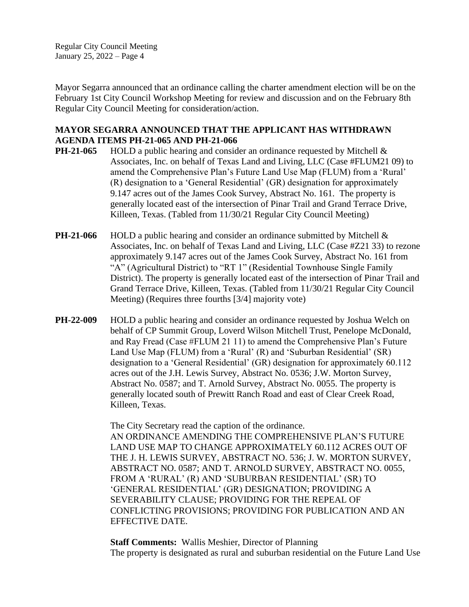Mayor Segarra announced that an ordinance calling the charter amendment election will be on the February 1st City Council Workshop Meeting for review and discussion and on the February 8th Regular City Council Meeting for consideration/action.

### **MAYOR SEGARRA ANNOUNCED THAT THE APPLICANT HAS WITHDRAWN AGENDA ITEMS PH-21-065 AND PH-21-066**

- **PH-21-065** HOLD a public hearing and consider an ordinance requested by Mitchell & Associates, Inc. on behalf of Texas Land and Living, LLC (Case #FLUM21 09) to amend the Comprehensive Plan's Future Land Use Map (FLUM) from a 'Rural' (R) designation to a 'General Residential' (GR) designation for approximately 9.147 acres out of the James Cook Survey, Abstract No. 161. The property is generally located east of the intersection of Pinar Trail and Grand Terrace Drive, Killeen, Texas. (Tabled from 11/30/21 Regular City Council Meeting)
- **PH-21-066** HOLD a public hearing and consider an ordinance submitted by Mitchell & Associates, Inc. on behalf of Texas Land and Living, LLC (Case #Z21 33) to rezone approximately 9.147 acres out of the James Cook Survey, Abstract No. 161 from "A" (Agricultural District) to "RT 1" (Residential Townhouse Single Family District). The property is generally located east of the intersection of Pinar Trail and Grand Terrace Drive, Killeen, Texas. (Tabled from 11/30/21 Regular City Council Meeting) (Requires three fourths [3/4] majority vote)
- **PH-22-009** HOLD a public hearing and consider an ordinance requested by Joshua Welch on behalf of CP Summit Group, Loverd Wilson Mitchell Trust, Penelope McDonald, and Ray Fread (Case #FLUM 21 11) to amend the Comprehensive Plan's Future Land Use Map (FLUM) from a 'Rural' (R) and 'Suburban Residential' (SR) designation to a 'General Residential' (GR) designation for approximately 60.112 acres out of the J.H. Lewis Survey, Abstract No. 0536; J.W. Morton Survey, Abstract No. 0587; and T. Arnold Survey, Abstract No. 0055. The property is generally located south of Prewitt Ranch Road and east of Clear Creek Road, Killeen, Texas.

The City Secretary read the caption of the ordinance. AN ORDINANCE AMENDING THE COMPREHENSIVE PLAN'S FUTURE LAND USE MAP TO CHANGE APPROXIMATELY 60.112 ACRES OUT OF THE J. H. LEWIS SURVEY, ABSTRACT NO. 536; J. W. MORTON SURVEY, ABSTRACT NO. 0587; AND T. ARNOLD SURVEY, ABSTRACT NO. 0055, FROM A 'RURAL' (R) AND 'SUBURBAN RESIDENTIAL' (SR) TO 'GENERAL RESIDENTIAL' (GR) DESIGNATION; PROVIDING A SEVERABILITY CLAUSE; PROVIDING FOR THE REPEAL OF CONFLICTING PROVISIONS; PROVIDING FOR PUBLICATION AND AN EFFECTIVE DATE.

**Staff Comments:** Wallis Meshier, Director of Planning The property is designated as rural and suburban residential on the Future Land Use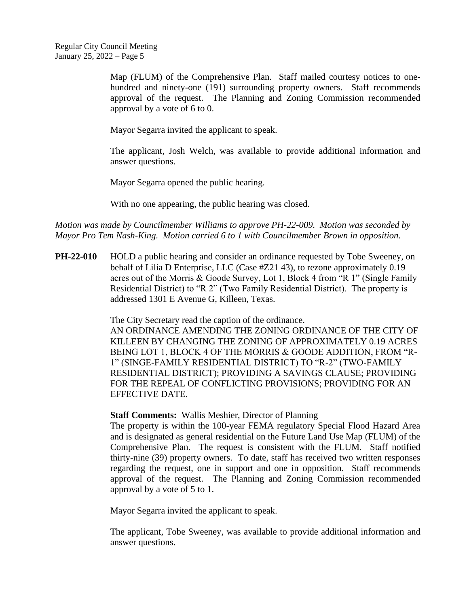Map (FLUM) of the Comprehensive Plan. Staff mailed courtesy notices to onehundred and ninety-one (191) surrounding property owners. Staff recommends approval of the request. The Planning and Zoning Commission recommended approval by a vote of 6 to 0.

Mayor Segarra invited the applicant to speak.

The applicant, Josh Welch, was available to provide additional information and answer questions.

Mayor Segarra opened the public hearing.

With no one appearing, the public hearing was closed.

*Motion was made by Councilmember Williams to approve PH-22-009. Motion was seconded by Mayor Pro Tem Nash-King. Motion carried 6 to 1 with Councilmember Brown in opposition.*

**PH-22-010** HOLD a public hearing and consider an ordinance requested by Tobe Sweeney, on behalf of Lilia D Enterprise, LLC (Case #Z21 43), to rezone approximately 0.19 acres out of the Morris & Goode Survey, Lot 1, Block 4 from "R 1" (Single Family Residential District) to "R 2" (Two Family Residential District). The property is addressed 1301 E Avenue G, Killeen, Texas.

The City Secretary read the caption of the ordinance.

AN ORDINANCE AMENDING THE ZONING ORDINANCE OF THE CITY OF KILLEEN BY CHANGING THE ZONING OF APPROXIMATELY 0.19 ACRES BEING LOT 1, BLOCK 4 OF THE MORRIS & GOODE ADDITION, FROM "R-1" (SINGE-FAMILY RESIDENTIAL DISTRICT) TO "R-2" (TWO-FAMILY RESIDENTIAL DISTRICT); PROVIDING A SAVINGS CLAUSE; PROVIDING FOR THE REPEAL OF CONFLICTING PROVISIONS; PROVIDING FOR AN EFFECTIVE DATE.

**Staff Comments:** Wallis Meshier, Director of Planning

The property is within the 100-year FEMA regulatory Special Flood Hazard Area and is designated as general residential on the Future Land Use Map (FLUM) of the Comprehensive Plan. The request is consistent with the FLUM. Staff notified thirty-nine (39) property owners. To date, staff has received two written responses regarding the request, one in support and one in opposition. Staff recommends approval of the request. The Planning and Zoning Commission recommended approval by a vote of 5 to 1.

Mayor Segarra invited the applicant to speak.

The applicant, Tobe Sweeney, was available to provide additional information and answer questions.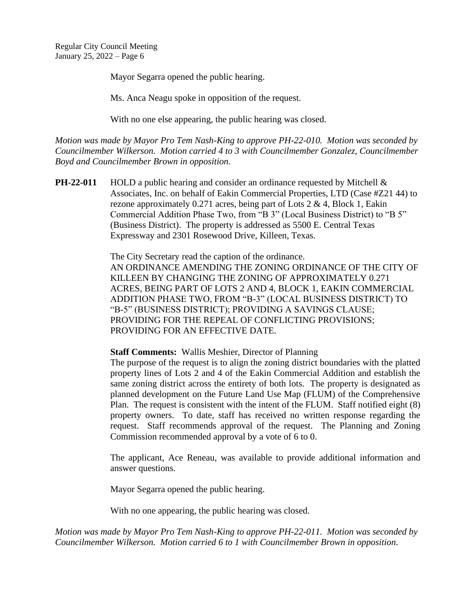Mayor Segarra opened the public hearing.

Ms. Anca Neagu spoke in opposition of the request.

With no one else appearing, the public hearing was closed.

*Motion was made by Mayor Pro Tem Nash-King to approve PH-22-010. Motion was seconded by Councilmember Wilkerson. Motion carried 4 to 3 with Councilmember Gonzalez, Councilmember Boyd and Councilmember Brown in opposition.*

**PH-22-011** HOLD a public hearing and consider an ordinance requested by Mitchell & Associates, Inc. on behalf of Eakin Commercial Properties, LTD (Case #Z21 44) to rezone approximately 0.271 acres, being part of Lots 2 & 4, Block 1, Eakin Commercial Addition Phase Two, from "B 3" (Local Business District) to "B 5" (Business District). The property is addressed as 5500 E. Central Texas Expressway and 2301 Rosewood Drive, Killeen, Texas.

> The City Secretary read the caption of the ordinance. AN ORDINANCE AMENDING THE ZONING ORDINANCE OF THE CITY OF KILLEEN BY CHANGING THE ZONING OF APPROXIMATELY 0.271 ACRES, BEING PART OF LOTS 2 AND 4, BLOCK 1, EAKIN COMMERCIAL ADDITION PHASE TWO, FROM "B-3" (LOCAL BUSINESS DISTRICT) TO "B-5" (BUSINESS DISTRICT); PROVIDING A SAVINGS CLAUSE; PROVIDING FOR THE REPEAL OF CONFLICTING PROVISIONS; PROVIDING FOR AN EFFECTIVE DATE.

**Staff Comments:** Wallis Meshier, Director of Planning

The purpose of the request is to align the zoning district boundaries with the platted property lines of Lots 2 and 4 of the Eakin Commercial Addition and establish the same zoning district across the entirety of both lots. The property is designated as planned development on the Future Land Use Map (FLUM) of the Comprehensive Plan. The request is consistent with the intent of the FLUM. Staff notified eight (8) property owners. To date, staff has received no written response regarding the request. Staff recommends approval of the request. The Planning and Zoning Commission recommended approval by a vote of 6 to 0.

The applicant, Ace Reneau, was available to provide additional information and answer questions.

Mayor Segarra opened the public hearing.

With no one appearing, the public hearing was closed.

*Motion was made by Mayor Pro Tem Nash-King to approve PH-22-011. Motion was seconded by Councilmember Wilkerson. Motion carried 6 to 1 with Councilmember Brown in opposition.*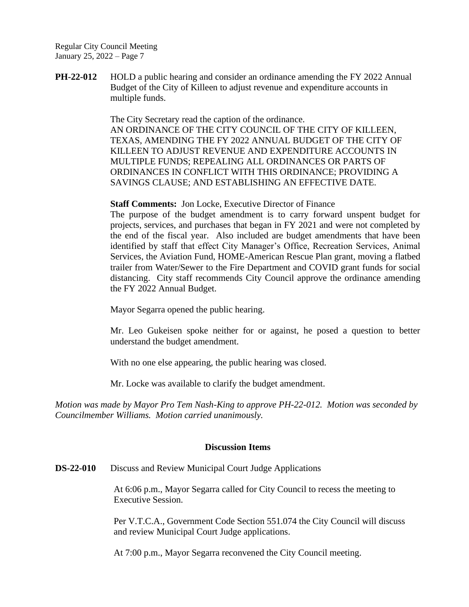**PH-22-012** HOLD a public hearing and consider an ordinance amending the FY 2022 Annual Budget of the City of Killeen to adjust revenue and expenditure accounts in multiple funds.

> The City Secretary read the caption of the ordinance. AN ORDINANCE OF THE CITY COUNCIL OF THE CITY OF KILLEEN, TEXAS, AMENDING THE FY 2022 ANNUAL BUDGET OF THE CITY OF KILLEEN TO ADJUST REVENUE AND EXPENDITURE ACCOUNTS IN MULTIPLE FUNDS; REPEALING ALL ORDINANCES OR PARTS OF ORDINANCES IN CONFLICT WITH THIS ORDINANCE; PROVIDING A SAVINGS CLAUSE; AND ESTABLISHING AN EFFECTIVE DATE.

**Staff Comments:** Jon Locke, Executive Director of Finance

The purpose of the budget amendment is to carry forward unspent budget for projects, services, and purchases that began in FY 2021 and were not completed by the end of the fiscal year. Also included are budget amendments that have been identified by staff that effect City Manager's Office, Recreation Services, Animal Services, the Aviation Fund, HOME-American Rescue Plan grant, moving a flatbed trailer from Water/Sewer to the Fire Department and COVID grant funds for social distancing. City staff recommends City Council approve the ordinance amending the FY 2022 Annual Budget.

Mayor Segarra opened the public hearing.

Mr. Leo Gukeisen spoke neither for or against, he posed a question to better understand the budget amendment.

With no one else appearing, the public hearing was closed.

Mr. Locke was available to clarify the budget amendment.

*Motion was made by Mayor Pro Tem Nash-King to approve PH-22-012. Motion was seconded by Councilmember Williams. Motion carried unanimously.*

#### **Discussion Items**

**DS-22-010** Discuss and Review Municipal Court Judge Applications

At 6:06 p.m., Mayor Segarra called for City Council to recess the meeting to Executive Session.

Per V.T.C.A., Government Code Section 551.074 the City Council will discuss and review Municipal Court Judge applications.

At 7:00 p.m., Mayor Segarra reconvened the City Council meeting.